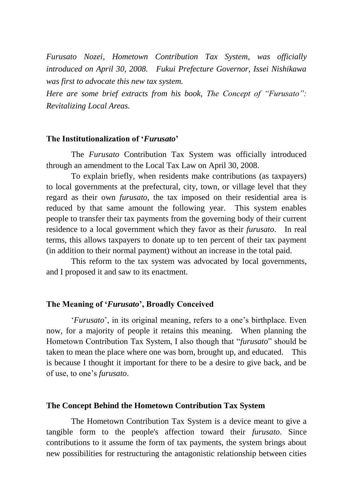*Furusato Nozei, Hometown Contribution Tax System, was officially introduced on April 30, 2008. Fukui Prefecture Governor, Issei Nishikawa was first to advocate this new tax system.*

*Here are some brief extracts from his book, The Concept of "Furusato": Revitalizing Local Areas.*

### **The Institutionalization of '***Furusato***'**

The *Furusato* Contribution Tax System was officially introduced through an amendment to the Local Tax Law on April 30, 2008.

To explain briefly, when residents make contributions (as taxpayers) to local governments at the prefectural, city, town, or village level that they regard as their own *furusato*, the tax imposed on their residential area is reduced by that same amount the following year. This system enables people to transfer their tax payments from the governing body of their current residence to a local government which they favor as their *furusato*. In real terms, this allows taxpayers to donate up to ten percent of their tax payment (in addition to their normal payment) without an increase in the total paid.

This reform to the tax system was advocated by local governments, and I proposed it and saw to its enactment.

## **The Meaning of '***Furusato***', Broadly Conceived**

'*Furusato*', in its original meaning, refers to a one's birthplace. Even now, for a majority of people it retains this meaning. When planning the Hometown Contribution Tax System, I also though that "*furusato*" should be taken to mean the place where one was born, brought up, and educated. This is because I thought it important for there to be a desire to give back, and be of use, to one's *furusato*.

## **The Concept Behind the Hometown Contribution Tax System**

The Hometown Contribution Tax System is a device meant to give a tangible form to the people's affection toward their *furusato*. Since contributions to it assume the form of tax payments, the system brings about new possibilities for restructuring the antagonistic relationship between cities